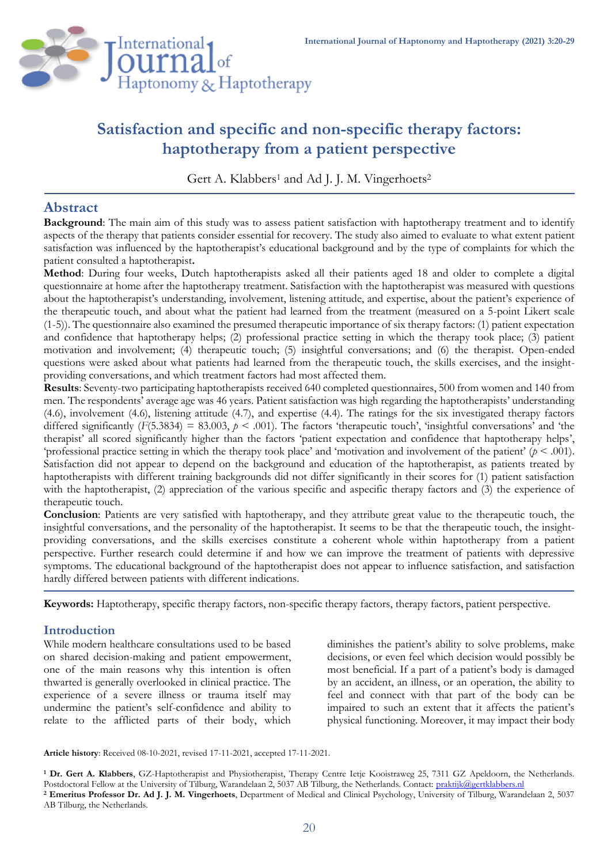

# **Satisfaction and specific and non-specific therapy factors: haptotherapy from a patient perspective**

Gert A. Klabbers<sup>1</sup> and Ad J. J. M. Vingerhoets<sup>2</sup>

# **Abstract**

**Background**: The main aim of this study was to assess patient satisfaction with haptotherapy treatment and to identify aspects of the therapy that patients consider essential for recovery. The study also aimed to evaluate to what extent patient satisfaction was influenced by the haptotherapist's educational background and by the type of complaints for which the patient consulted a haptotherapist**.** 

**Method**: During four weeks, Dutch haptotherapists asked all their patients aged 18 and older to complete a digital questionnaire at home after the haptotherapy treatment. Satisfaction with the haptotherapist was measured with questions about the haptotherapist's understanding, involvement, listening attitude, and expertise, about the patient's experience of the therapeutic touch, and about what the patient had learned from the treatment (measured on a 5-point Likert scale (1-5)). The questionnaire also examined the presumed therapeutic importance of six therapy factors: (1) patient expectation and confidence that haptotherapy helps; (2) professional practice setting in which the therapy took place; (3) patient motivation and involvement; (4) therapeutic touch; (5) insightful conversations; and (6) the therapist. Open-ended questions were asked about what patients had learned from the therapeutic touch, the skills exercises, and the insightproviding conversations, and which treatment factors had most affected them.

**Results**: Seventy-two participating haptotherapists received 640 completed questionnaires, 500 from women and 140 from men. The respondents' average age was 46 years. Patient satisfaction was high regarding the haptotherapists' understanding (4.6), involvement (4.6), listening attitude (4.7), and expertise (4.4). The ratings for the six investigated therapy factors differed significantly (*F*(5.3834) = 83.003, *p* < .001). The factors 'therapeutic touch', 'insightful conversations' and 'the therapist' all scored significantly higher than the factors 'patient expectation and confidence that haptotherapy helps', 'professional practice setting in which the therapy took place' and 'motivation and involvement of the patient' (*p* < .001). Satisfaction did not appear to depend on the background and education of the haptotherapist, as patients treated by haptotherapists with different training backgrounds did not differ significantly in their scores for (1) patient satisfaction with the haptotherapist, (2) appreciation of the various specific and aspecific therapy factors and (3) the experience of therapeutic touch.

**Conclusion**: Patients are very satisfied with haptotherapy, and they attribute great value to the therapeutic touch, the insightful conversations, and the personality of the haptotherapist. It seems to be that the therapeutic touch, the insightproviding conversations, and the skills exercises constitute a coherent whole within haptotherapy from a patient perspective. Further research could determine if and how we can improve the treatment of patients with depressive symptoms. The educational background of the haptotherapist does not appear to influence satisfaction, and satisfaction hardly differed between patients with different indications.

**Keywords:** Haptotherapy, specific therapy factors, non-specific therapy factors, therapy factors, patient perspective.

# **Introduction**

While modern healthcare consultations used to be based on shared decision-making and patient empowerment, one of the main reasons why this intention is often thwarted is generally overlooked in clinical practice. The experience of a severe illness or trauma itself may undermine the patient's self-confidence and ability to relate to the afflicted parts of their body, which diminishes the patient's ability to solve problems, make decisions, or even feel which decision would possibly be most beneficial. If a part of a patient's body is damaged by an accident, an illness, or an operation, the ability to feel and connect with that part of the body can be impaired to such an extent that it affects the patient's physical functioning. Moreover, it may impact their body

**Article history**: Received 08-10-2021, revised 17-11-2021, accepted 17-11-2021.

**<sup>1</sup> Dr. Gert A. Klabbers**, GZ-Haptotherapist and Physiotherapist, Therapy Centre Ietje Kooistraweg 25, 7311 GZ Apeldoorn, the Netherlands. Postdoctoral Fellow at the University of Tilburg, Warandelaan 2, 5037 AB Tilburg, the Netherlands. Contact: [praktijk@gertklabbers.nl](mailto:praktijk@gertklabbers.nl) **<sup>2</sup> Emeritus Professor Dr. Ad J. J. M. Vingerhoets**, Department of Medical and Clinical Psychology, University of Tilburg, Warandelaan 2, 5037 AB Tilburg, the Netherlands.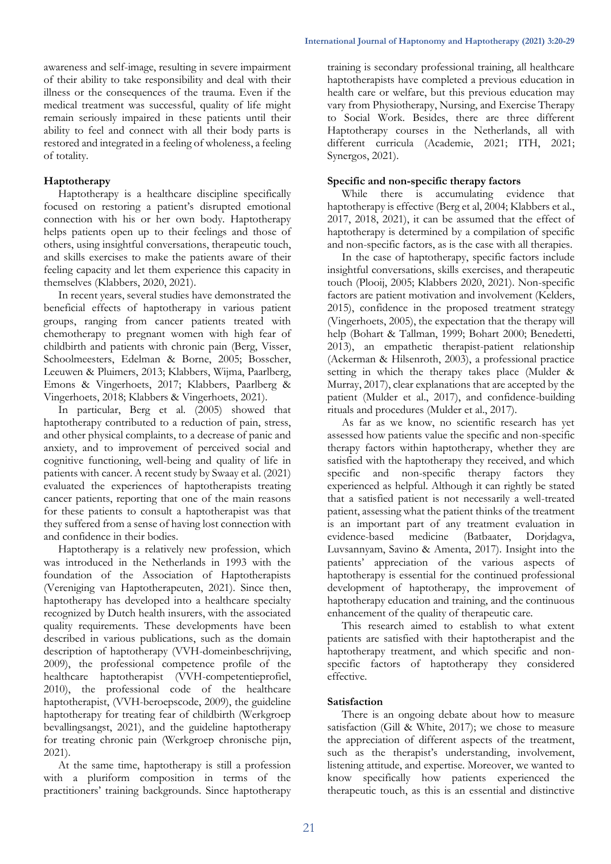awareness and self-image, resulting in severe impairment of their ability to take responsibility and deal with their illness or the consequences of the trauma. Even if the medical treatment was successful, quality of life might remain seriously impaired in these patients until their ability to feel and connect with all their body parts is restored and integrated in a feeling of wholeness, a feeling of totality.

### **Haptotherapy**

Haptotherapy is a healthcare discipline specifically focused on restoring a patient's disrupted emotional connection with his or her own body. Haptotherapy helps patients open up to their feelings and those of others, using insightful conversations, therapeutic touch, and skills exercises to make the patients aware of their feeling capacity and let them experience this capacity in themselves (Klabbers, 2020, 2021).

In recent years, several studies have demonstrated the beneficial effects of haptotherapy in various patient groups, ranging from cancer patients treated with chemotherapy to pregnant women with high fear of childbirth and patients with chronic pain (Berg, Visser, Schoolmeesters, Edelman & Borne, 2005; Bosscher, Leeuwen & Pluimers, 2013; Klabbers, Wijma, Paarlberg, Emons & Vingerhoets, 2017; Klabbers, Paarlberg & Vingerhoets, 2018; Klabbers & Vingerhoets, 2021).

In particular, Berg et al. (2005) showed that haptotherapy contributed to a reduction of pain, stress, and other physical complaints, to a decrease of panic and anxiety, and to improvement of perceived social and cognitive functioning, well-being and quality of life in patients with cancer. A recent study by Swaay et al. (2021) evaluated the experiences of haptotherapists treating cancer patients, reporting that one of the main reasons for these patients to consult a haptotherapist was that they suffered from a sense of having lost connection with and confidence in their bodies.

Haptotherapy is a relatively new profession, which was introduced in the Netherlands in 1993 with the foundation of the Association of Haptotherapists (Vereniging van Haptotherapeuten, 2021). Since then, haptotherapy has developed into a healthcare specialty recognized by Dutch health insurers, with the associated quality requirements. These developments have been described in various publications, such as the domain description of haptotherapy (VVH-domeinbeschrijving, 2009), the professional competence profile of the healthcare haptotherapist (VVH-competentieprofiel, 2010), the professional code of the healthcare haptotherapist, (VVH-beroepscode, 2009), the guideline haptotherapy for treating fear of childbirth (Werkgroep bevallingsangst, 2021), and the guideline haptotherapy for treating chronic pain (Werkgroep chronische pijn, 2021).

At the same time, haptotherapy is still a profession with a pluriform composition in terms of the practitioners' training backgrounds. Since haptotherapy training is secondary professional training, all healthcare haptotherapists have completed a previous education in health care or welfare, but this previous education may vary from Physiotherapy, Nursing, and Exercise Therapy to Social Work. Besides, there are three different Haptotherapy courses in the Netherlands, all with different curricula (Academie, 2021; ITH, 2021; Synergos, 2021).

#### **Specific and non-specific therapy factors**

While there is accumulating evidence that haptotherapy is effective (Berg et al, 2004; Klabbers et al., 2017, 2018, 2021), it can be assumed that the effect of haptotherapy is determined by a compilation of specific and non-specific factors, as is the case with all therapies.

In the case of haptotherapy, specific factors include insightful conversations, skills exercises, and therapeutic touch (Plooij, 2005; Klabbers 2020, 2021). Non-specific factors are patient motivation and involvement (Kelders, 2015), confidence in the proposed treatment strategy (Vingerhoets, 2005), the expectation that the therapy will help (Bohart & Tallman, 1999; Bohart 2000; Benedetti, 2013), an empathetic therapist-patient relationship (Ackerman & Hilsenroth, 2003), a professional practice setting in which the therapy takes place (Mulder & Murray, 2017), clear explanations that are accepted by the patient (Mulder et al., 2017), and confidence-building rituals and procedures (Mulder et al., 2017).

As far as we know, no scientific research has yet assessed how patients value the specific and non-specific therapy factors within haptotherapy, whether they are satisfied with the haptotherapy they received, and which specific and non-specific therapy factors they experienced as helpful. Although it can rightly be stated that a satisfied patient is not necessarily a well-treated patient, assessing what the patient thinks of the treatment is an important part of any treatment evaluation in<br>evidence-based medicine (Batbaater, Doridagva, evidence-based medicine (Batbaater, Luvsannyam, Savino & Amenta, 2017). Insight into the patients' appreciation of the various aspects of haptotherapy is essential for the continued professional development of haptotherapy, the improvement of haptotherapy education and training, and the continuous enhancement of the quality of therapeutic care.

This research aimed to establish to what extent patients are satisfied with their haptotherapist and the haptotherapy treatment, and which specific and nonspecific factors of haptotherapy they considered effective.

#### **Satisfaction**

There is an ongoing debate about how to measure satisfaction (Gill & White, 2017); we chose to measure the appreciation of different aspects of the treatment, such as the therapist's understanding, involvement, listening attitude, and expertise. Moreover, we wanted to know specifically how patients experienced the therapeutic touch, as this is an essential and distinctive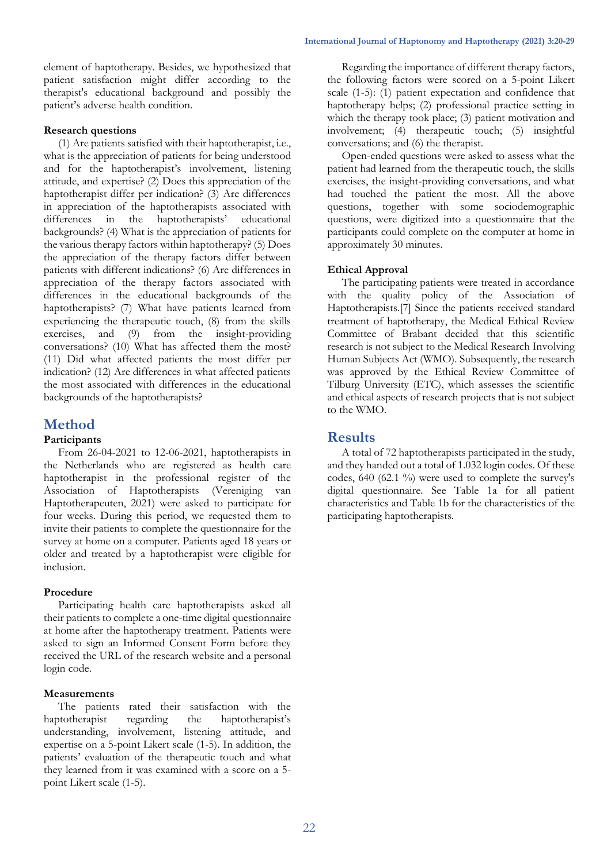element of haptotherapy. Besides, we hypothesized that patient satisfaction might differ according to the therapist's educational background and possibly the patient's adverse health condition.

#### **Research questions**

(1) Are patients satisfied with their haptotherapist, i.e., what is the appreciation of patients for being understood and for the haptotherapist's involvement, listening attitude, and expertise? (2) Does this appreciation of the haptotherapist differ per indication? (3) Are differences in appreciation of the haptotherapists associated with differences in the haptotherapists' educational backgrounds? (4) What is the appreciation of patients for the various therapy factors within haptotherapy? (5) Does the appreciation of the therapy factors differ between patients with different indications? (6) Are differences in appreciation of the therapy factors associated with differences in the educational backgrounds of the haptotherapists? (7) What have patients learned from experiencing the therapeutic touch, (8) from the skills exercises, and (9) from the insight-providing conversations? (10) What has affected them the most? (11) Did what affected patients the most differ per indication? (12) Are differences in what affected patients the most associated with differences in the educational backgrounds of the haptotherapists?

# **Method**

### **Participants**

From 26-04-2021 to 12-06-2021, haptotherapists in the Netherlands who are registered as health care haptotherapist in the professional register of the Association of Haptotherapists (Vereniging van Haptotherapeuten, 2021) were asked to participate for four weeks. During this period, we requested them to invite their patients to complete the questionnaire for the survey at home on a computer. Patients aged 18 years or older and treated by a haptotherapist were eligible for inclusion.

### **Procedure**

Participating health care haptotherapists asked all their patients to complete a one-time digital questionnaire at home after the haptotherapy treatment. Patients were asked to sign an Informed Consent Form before they received the URL of the research website and a personal login code.

### **Measurements**

The patients rated their satisfaction with the haptotherapist regarding the haptotherapist's understanding, involvement, listening attitude, and expertise on a 5-point Likert scale (1-5). In addition, the patients' evaluation of the therapeutic touch and what they learned from it was examined with a score on a 5 point Likert scale (1-5).

Regarding the importance of different therapy factors, the following factors were scored on a 5-point Likert scale (1-5): (1) patient expectation and confidence that haptotherapy helps; (2) professional practice setting in which the therapy took place; (3) patient motivation and involvement; (4) therapeutic touch; (5) insightful conversations; and (6) the therapist.

Open-ended questions were asked to assess what the patient had learned from the therapeutic touch, the skills exercises, the insight-providing conversations, and what had touched the patient the most. All the above questions, together with some sociodemographic questions, were digitized into a questionnaire that the participants could complete on the computer at home in approximately 30 minutes.

## **Ethical Approval**

The participating patients were treated in accordance with the quality policy of the Association of Haptotherapists.[7] Since the patients received standard treatment of haptotherapy, the Medical Ethical Review Committee of Brabant decided that this scientific research is not subject to the Medical Research Involving Human Subjects Act (WMO). Subsequently, the research was approved by the Ethical Review Committee of Tilburg University (ETC), which assesses the scientific and ethical aspects of research projects that is not subject to the WMO.

# **Results**

A total of 72 haptotherapists participated in the study, and they handed out a total of 1.032 login codes. Of these codes, 640 (62.1 %) were used to complete the survey's digital questionnaire. See Table 1a for all patient characteristics and Table 1b for the characteristics of the participating haptotherapists.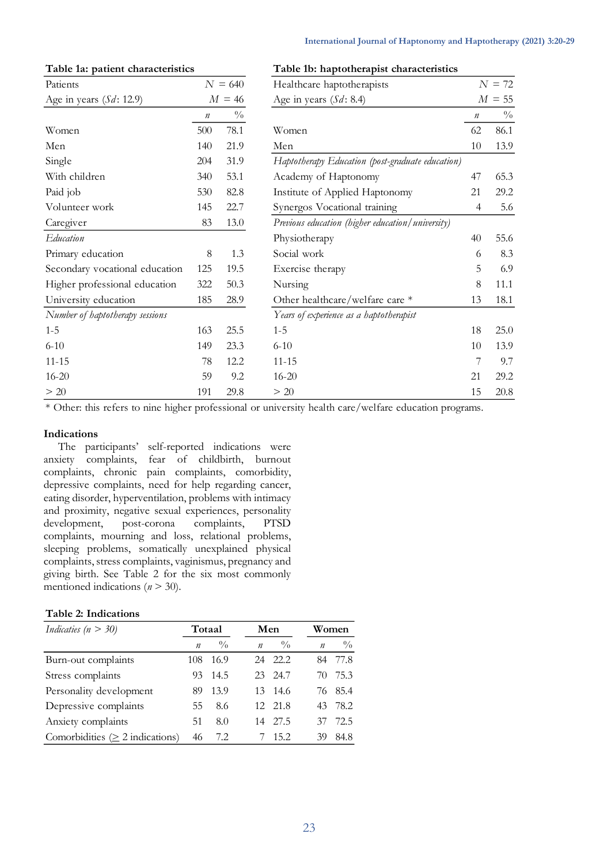| Patients                        | $N = 640$        |               | Healthcare haptotherapists                       |         | $N = 72$      |
|---------------------------------|------------------|---------------|--------------------------------------------------|---------|---------------|
| Age in years $(Sd: 12.9)$       |                  | $M = 46$      | Age in years $(Sd: 8.4)$                         |         | $M = 55$      |
|                                 | $\boldsymbol{n}$ | $\frac{0}{0}$ |                                                  | $\it n$ | $\frac{0}{0}$ |
| Women                           | 500              | 78.1          | Women                                            | 62      | 86.1          |
| Men                             | 140              | 21.9          | Men                                              | 10      | 13.9          |
| Single                          | 204              | 31.9          | Haptotherapy Education (post-graduate education) |         |               |
| With children                   | 340              | 53.1          | Academy of Haptonomy                             | 47      | 65.3          |
| Paid job                        | 530              | 82.8          | Institute of Applied Haptonomy                   | 21      | 29.2          |
| Volunteer work                  | 145              | 22.7          | Synergos Vocational training                     | 4       | 5.6           |
| Caregiver                       | 83               | 13.0          | Previous education (higher education/university) |         |               |
| <b>Education</b>                |                  |               | Physiotherapy                                    | 40      | 55.6          |
| Primary education               | $8\,$            | 1.3           | Social work                                      | 6       | 8.3           |
| Secondary vocational education  | 125              | 19.5          | Exercise therapy                                 | 5       | 6.9           |
| Higher professional education   | 322              | 50.3          | Nursing                                          | 8       | 11.1          |
| University education            | 185              | 28.9          | Other healthcare/welfare care *                  | 13      | 18.1          |
| Number of haptotherapy sessions |                  |               | Years of experience as a haptotherapist          |         |               |
| $1 - 5$                         | 163              | 25.5          | $1 - 5$                                          | 18      | 25.0          |
| $6 - 10$                        | 149              | 23.3          | $6 - 10$                                         | 10      | 13.9          |
| $11 - 15$                       | 78               | 12.2          | $11 - 15$                                        | 7       | 9.7           |
| $16 - 20$                       | 59               | 9.2           | $16 - 20$                                        | 21      | 29.2          |
| > 20                            | 191              | 29.8          | > 20                                             | 15      | 20.8          |

#### **International Journal of Haptonomy and Haptotherapy (2021) 3:20-29**

#### **Table 1a: patient characteristics Table 1b: haptotherapist characteristics**

\* Other: this refers to nine higher professional or university health care/welfare education programs.

#### **Indications**

The participants' self-reported indications were anxiety complaints, fear of childbirth, burnout complaints, chronic pain complaints, comorbidity, depressive complaints, need for help regarding cancer, eating disorder, hyperventilation, problems with intimacy and proximity, negative sexual experiences, personality<br>development, post-corona complaints, PTSD development, post-corona complaints, PTSD complaints, mourning and loss, relational problems, sleeping problems, somatically unexplained physical complaints, stress complaints, vaginismus, pregnancy and giving birth. See Table 2 for the six most commonly mentioned indications (*n* > 30).

#### **Table 2: Indications**

| Indicaties ( $n > 30$ )               | Totaal           |               | Men              |               |                  | Women         |  |  |
|---------------------------------------|------------------|---------------|------------------|---------------|------------------|---------------|--|--|
|                                       | $\boldsymbol{n}$ | $\frac{0}{0}$ | $\boldsymbol{n}$ | $\frac{0}{0}$ | $\boldsymbol{n}$ | $\frac{0}{0}$ |  |  |
| Burn-out complaints                   | 108              | -16.9         |                  | 24 22.2       | 84               | 77.8          |  |  |
| Stress complaints                     | 93               | 14.5          |                  | 23 24.7       | 70               | 75.3          |  |  |
| Personality development               | 89               | 13.9          |                  | 13 14.6       |                  | 76 85.4       |  |  |
| Depressive complaints                 | 55               | 8.6           |                  | 12 21.8       |                  | 43 78.2       |  |  |
| Anxiety complaints                    | 51               | 8.0           |                  | 14 27.5       | 37               | 72.5          |  |  |
| Comorbidities ( $\geq$ 2 indications) | 46               | 72            |                  | 15.2          | 39               | 84.8          |  |  |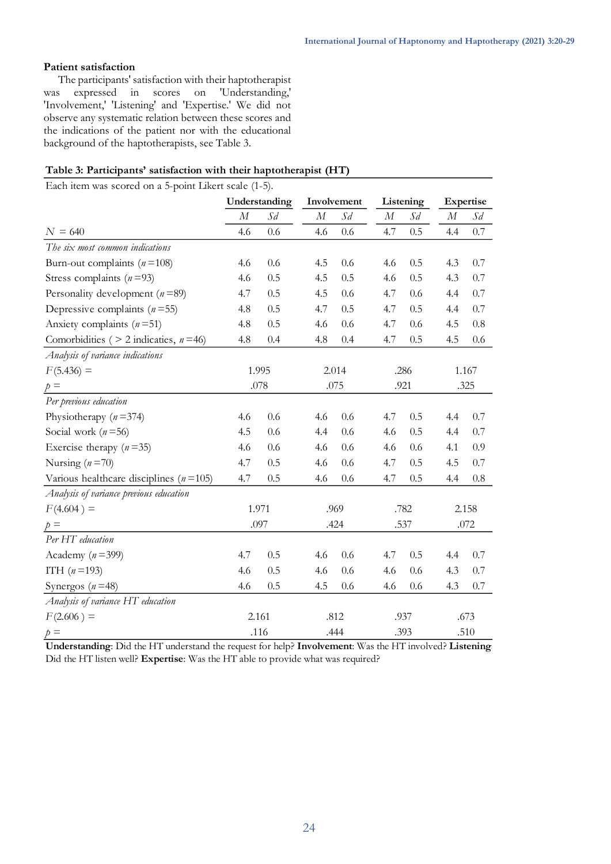#### **Patient satisfaction**

The participants' satisfaction with their haptotherapist was expressed in scores on 'Understanding,' 'Involvement,' 'Listening' and 'Expertise.' We did not observe any systematic relation between these scores and the indications of the patient nor with the educational background of the haptotherapists, see Table 3.

### **Table 3: Participants' satisfaction with their haptotherapist (HT)**

Each item was scored on a 5-point Likert scale (1-5).

|                                              | Understanding    |         | Involvement |       | Listening |       | Expertise |         |  |
|----------------------------------------------|------------------|---------|-------------|-------|-----------|-------|-----------|---------|--|
|                                              | $\boldsymbol{M}$ | $S_d$   | $\cal M$    | $S_d$ | $\cal M$  | $S_d$ | $\cal M$  | $S_d$   |  |
| $N = 640$                                    | 4.6              | 0.6     | 4.6         | 0.6   | 4.7       | 0.5   | 4.4       | 0.7     |  |
| The six most common indications              |                  |         |             |       |           |       |           |         |  |
| Burn-out complaints $(n=108)$                | 4.6              | 0.6     | 4.5         | 0.6   | 4.6       | 0.5   | 4.3       | 0.7     |  |
| Stress complaints $(n=93)$                   | 4.6              | 0.5     | 4.5         | 0.5   | 4.6       | 0.5   | 4.3       | $0.7\,$ |  |
| Personality development ( $n = 89$ )         | 4.7              | 0.5     | 4.5         | 0.6   | 4.7       | 0.6   | 4.4       | 0.7     |  |
| Depressive complaints $(n=55)$               | 4.8              | 0.5     | 4.7         | 0.5   | 4.7       | 0.5   | 4.4       | 0.7     |  |
| Anxiety complaints $(n=51)$                  | 4.8              | 0.5     | 4.6         | 0.6   | 4.7       | 0.6   | 4.5       | 0.8     |  |
| Comorbidities ( $> 2$ indicaties, $n = 46$ ) | 4.8              | 0.4     | 4.8         | 0.4   | 4.7       | 0.5   | 4.5       | 0.6     |  |
| Analysis of variance indications             |                  |         |             |       |           |       |           |         |  |
| $F(5.436) =$                                 |                  | 1.995   |             | 2.014 |           | .286  | 1.167     |         |  |
| $p =$                                        |                  | .078    |             | .075  |           | .921  | .325      |         |  |
| Per previous education                       |                  |         |             |       |           |       |           |         |  |
| Physiotherapy $(n=374)$                      | 4.6              | 0.6     | 4.6         | 0.6   | 4.7       | 0.5   | 4.4       | 0.7     |  |
| Social work ( $n = 56$ )                     | 4.5              | $0.6\,$ | 4.4         | 0.6   | 4.6       | 0.5   | 4.4       | 0.7     |  |
| Exercise therapy $(n=35)$                    | 4.6              | 0.6     | 4.6         | 0.6   | 4.6       | 0.6   | 4.1       | 0.9     |  |
| Nursing $(n=70)$                             | 4.7              | 0.5     | 4.6         | 0.6   | 4.7       | 0.5   | 4.5       | 0.7     |  |
| Various healthcare disciplines ( $n = 105$ ) | 4.7              | 0.5     | 4.6         | 0.6   | 4.7       | 0.5   | 4.4       | 0.8     |  |
| Analysis of variance previous education      |                  |         |             |       |           |       |           |         |  |
| $F(4.604) =$                                 |                  | 1.971   |             | .969  |           | .782  |           | 2.158   |  |
| $p =$                                        |                  | .097    |             | .424  |           | .537  |           | .072    |  |
| Per HT education                             |                  |         |             |       |           |       |           |         |  |
| Academy ( $n = 399$ )                        | 4.7              | 0.5     | 4.6         | 0.6   | 4.7       | 0.5   | 4.4       | 0.7     |  |
| ITH $(n=193)$                                | 4.6              | 0.5     | 4.6         | 0.6   | 4.6       | 0.6   | 4.3       | 0.7     |  |
| Synergos ( $n = 48$ )                        | 4.6              | 0.5     | 4.5         | 0.6   | 4.6       | 0.6   | 4.3       | 0.7     |  |
| Analysis of variance HT education            |                  |         |             |       |           |       |           |         |  |
| $F(2.606) =$                                 |                  | 2.161   |             | .812  | .937      |       |           | .673    |  |
| $p =$                                        |                  | .116    |             | .444  | .393      |       |           | .510    |  |

**Understanding**: Did the HT understand the request for help? **Involvement**: Was the HT involved? **Listening:** Did the HT listen well? **Expertise**: Was the HT able to provide what was required?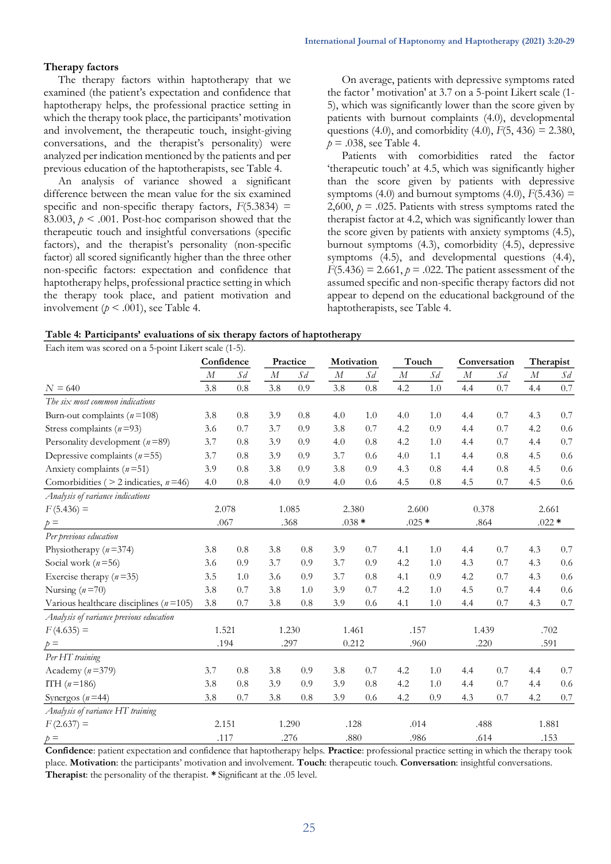#### **Therapy factors**

The therapy factors within haptotherapy that we examined (the patient's expectation and confidence that haptotherapy helps, the professional practice setting in which the therapy took place, the participants' motivation and involvement, the therapeutic touch, insight-giving conversations, and the therapist's personality) were analyzed per indication mentioned by the patients and per previous education of the haptotherapists, see Table 4.

An analysis of variance showed a significant difference between the mean value for the six examined specific and non-specific therapy factors,  $F(5.3834) =$ 83.003,  $p \le 0.001$ . Post-hoc comparison showed that the therapeutic touch and insightful conversations (specific factors), and the therapist's personality (non-specific factor) all scored significantly higher than the three other non-specific factors: expectation and confidence that haptotherapy helps, professional practice setting in which the therapy took place, and patient motivation and involvement ( $p < .001$ ), see Table 4.

On average, patients with depressive symptoms rated the factor ' motivation' at 3.7 on a 5-point Likert scale (1- 5), which was significantly lower than the score given by patients with burnout complaints (4.0), developmental questions (4.0), and comorbidity (4.0),  $F(5, 436) = 2.380$ ,  $p = .038$ , see Table 4.

Patients with comorbidities rated the factor 'therapeutic touch' at 4.5, which was significantly higher than the score given by patients with depressive symptoms (4.0) and burnout symptoms (4.0),  $F(5.436) =$ 2,600,  $p = .025$ . Patients with stress symptoms rated the therapist factor at 4.2, which was significantly lower than the score given by patients with anxiety symptoms (4.5), burnout symptoms (4.3), comorbidity (4.5), depressive symptoms (4.5), and developmental questions (4.4),  $F(5.436) = 2.661$ ,  $p = .022$ . The patient assessment of the assumed specific and non-specific therapy factors did not appear to depend on the educational background of the haptotherapists, see Table 4.

| Table 4: Participants' evaluations of six therapy factors of haptotherapy |  |  |  |
|---------------------------------------------------------------------------|--|--|--|
|                                                                           |  |  |  |

| Each item was scored on a 5-point Likert scale (1-5). |            |         |          |          |            |       |          |       |          |              |                  |         |
|-------------------------------------------------------|------------|---------|----------|----------|------------|-------|----------|-------|----------|--------------|------------------|---------|
|                                                       | Confidence |         |          | Practice | Motivation |       | Touch    |       |          | Conversation | Therapist        |         |
|                                                       | $\cal M$   | $S_d$   | $\cal M$ | $S_d$    | $\cal M$   | $S_d$ | $\cal M$ | $S_d$ | $\cal M$ | $S_d$        | $\boldsymbol{M}$ | $S_d$   |
| $N = 640$                                             | 3.8        | 0.8     | 3.8      | 0.9      | 3.8        | 0.8   | 4.2      | 1.0   | 4.4      | 0.7          | 4.4              | $0.7\,$ |
| The six most common indications                       |            |         |          |          |            |       |          |       |          |              |                  |         |
| Burn-out complaints ( $n = 108$ )                     | 3.8        | $0.8\,$ | 3.9      | 0.8      | 4.0        | 1.0   | 4.0      | 1.0   | 4.4      | 0.7          | 4.3              | 0.7     |
| Stress complaints $(n=93)$                            | 3.6        | 0.7     | 3.7      | 0.9      | 3.8        | 0.7   | 4.2      | 0.9   | 4.4      | 0.7          | 4.2              | 0.6     |
| Personality development $(n=89)$                      | 3.7        | 0.8     | 3.9      | 0.9      | 4.0        | 0.8   | 4.2      | 1.0   | 4.4      | 0.7          | 4.4              | 0.7     |
| Depressive complaints $(n=55)$                        | 3.7        | 0.8     | 3.9      | 0.9      | 3.7        | 0.6   | 4.0      | 1.1   | 4.4      | 0.8          | 4.5              | 0.6     |
| Anxiety complaints $(n=51)$                           | 3.9        | 0.8     | 3.8      | 0.9      | 3.8        | 0.9   | 4.3      | 0.8   | 4.4      | 0.8          | 4.5              | 0.6     |
| Comorbidities ( $>$ 2 indicaties, $n=46$ )            | 4.0        | 0.8     | 4.0      | 0.9      | 4.0        | 0.6   | 4.5      | 0.8   | 4.5      | 0.7          | 4.5              | $0.6\,$ |
| Analysis of variance indications                      |            |         |          |          |            |       |          |       |          |              |                  |         |
| $F(5.436) =$                                          | 2.078      |         | 1.085    |          | 2.380      |       | 2.600    |       | 0.378    |              | 2.661            |         |
| $p =$                                                 | .067       |         | .368     |          | $.038 *$   |       | $.025*$  |       | .864     |              | $.022*$          |         |
| Per previous education                                |            |         |          |          |            |       |          |       |          |              |                  |         |
| Physiotherapy $(n=374)$                               | 3.8        | $0.8\,$ | 3.8      | 0.8      | 3.9        | 0.7   | 4.1      | 1.0   | 4.4      | 0.7          | 4.3              | 0.7     |
| Social work $(n=56)$                                  | 3.6        | 0.9     | 3.7      | 0.9      | 3.7        | 0.9   | 4.2      | 1.0   | 4.3      | 0.7          | 4.3              | $0.6\,$ |
| Exercise therapy $(n=35)$                             | 3.5        | 1.0     | 3.6      | 0.9      | 3.7        | 0.8   | 4.1      | 0.9   | 4.2      | 0.7          | 4.3              | 0.6     |
| Nursing $(n=70)$                                      | 3.8        | 0.7     | 3.8      | 1.0      | 3.9        | 0.7   | 4.2      | 1.0   | 4.5      | 0.7          | 4.4              | 0.6     |
| Various healthcare disciplines ( $n = 105$ )          | 3.8        | 0.7     | 3.8      | 0.8      | 3.9        | 0.6   | 4.1      | 1.0   | 4.4      | 0.7          | 4.3              | $0.7\,$ |
| Analysis of variance previous education               |            |         |          |          |            |       |          |       |          |              |                  |         |
| $F(4.635) =$                                          | 1.521      |         |          | 1.230    | 1.461      |       | .157     |       | 1.439    |              | .702             |         |
| $p =$                                                 | .194       |         |          | .297     | 0.212      |       | .960     |       |          | .220         | .591             |         |
| Per HT training                                       |            |         |          |          |            |       |          |       |          |              |                  |         |
| Academy ( $n = 379$ )                                 | 3.7        | 0.8     | 3.8      | 0.9      | 3.8        | 0.7   | 4.2      | 1.0   | 4.4      | 0.7          | 4.4              | 0.7     |
| ITH $(n=186)$                                         | 3.8        | 0.8     | 3.9      | 0.9      | 3.9        | 0.8   | 4.2      | 1.0   | 4.4      | 0.7          | 4.4              | 0.6     |
| Synergos ( $n = 44$ )                                 | 3.8        | 0.7     | 3.8      | 0.8      | 3.9        | 0.6   | 4.2      | 0.9   | 4.3      | 0.7          | 4.2              | 0.7     |
| Analysis of variance HT training                      |            |         |          |          |            |       |          |       |          |              |                  |         |
| $F(2.637) =$                                          | 2.151      |         |          | 1.290    | .128       |       | .014     |       | .488     |              | 1.881            |         |
| $p =$                                                 | .117       |         |          | .276     | .880       |       | .986     |       | .614     |              | .153             |         |

place. **Motivation**: the participants' motivation and involvement. **Touch**: therapeutic touch. **Conversation**: insightful conversations. **Therapist**: the personality of the therapist. **\*** Significant at the .05 level. **Confidence**: patient expectation and confidence that haptotherapy helps. **Practice**: professional practice setting in which the therapy took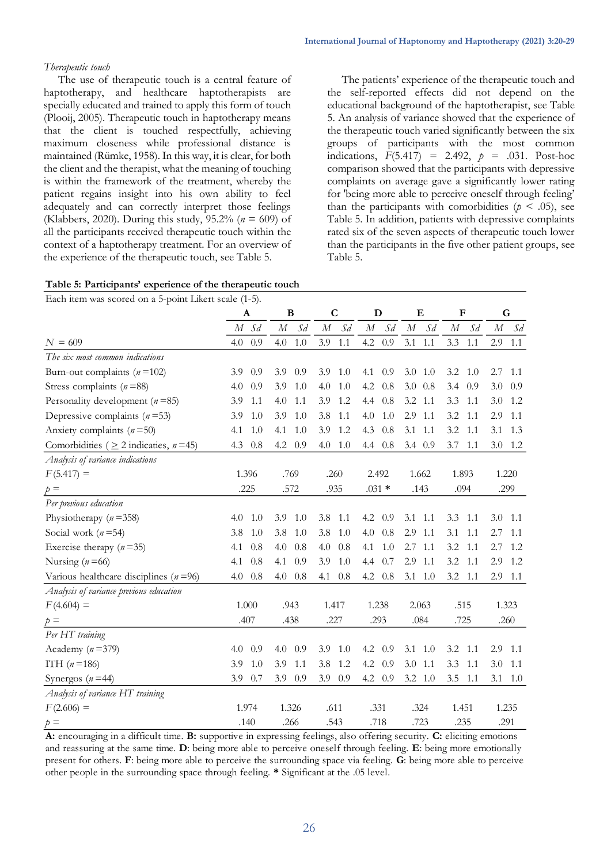#### *Therapeutic touch*

The use of therapeutic touch is a central feature of haptotherapy, and healthcare haptotherapists are specially educated and trained to apply this form of touch (Plooij, 2005). Therapeutic touch in haptotherapy means that the client is touched respectfully, achieving maximum closeness while professional distance is maintained (Rümke, 1958). In this way, it is clear, for both the client and the therapist, what the meaning of touching is within the framework of the treatment, whereby the patient regains insight into his own ability to feel adequately and can correctly interpret those feelings (Klabbers, 2020). During this study,  $95.2\%$  ( $n = 609$ ) of all the participants received therapeutic touch within the context of a haptotherapy treatment. For an overview of the experience of the therapeutic touch, see Table 5.

The patients' experience of the therapeutic touch and the self-reported effects did not depend on the educational background of the haptotherapist, see Table 5. An analysis of variance showed that the experience of the therapeutic touch varied significantly between the six groups of participants with the most common indications,  $F(5.417) = 2.492$ ,  $p = .031$ . Post-hoc comparison showed that the participants with depressive complaints on average gave a significantly lower rating for 'being more able to perceive oneself through feeling' than the participants with comorbidities ( $p < .05$ ), see Table 5. In addition, patients with depressive complaints rated six of the seven aspects of therapeutic touch lower than the participants in the five other patient groups, see Table 5.

| Each item was scored on a 5-point Likert scale (1-5). |  |  |
|-------------------------------------------------------|--|--|
|-------------------------------------------------------|--|--|

| Laten hem was scoled on a 9-point lanent seare $(1-9)$ . | A          | B                 | $\mathbf C$       | D                 | Е                 | F                 | G                 |
|----------------------------------------------------------|------------|-------------------|-------------------|-------------------|-------------------|-------------------|-------------------|
|                                                          | $M$ Sd     | $\cal M$<br>$S_d$ | $\cal M$<br>$S_d$ | $\cal M$<br>$S_d$ | $\cal M$<br>$S_d$ | $S_d$<br>$\cal M$ | $\cal M$<br>$S_d$ |
| $N = 609$                                                | 0.9<br>4.0 | 1.0<br>4.0        | 3.9<br>1.1        | 4.2<br>0.9        | 3.1<br>1.1        | 3.3<br>1.1        | 2.9<br>1.1        |
| The six most common indications                          |            |                   |                   |                   |                   |                   |                   |
| Burn-out complaints $(n=102)$                            | 0.9<br>3.9 | 0.9<br>3.9        | 1.0<br>3.9        | 4.1<br>0.9        | $3.0 \quad 1.0$   | 3.2<br>-1.0       | 1.1<br>2.7        |
| Stress complaints ( $n = 88$ )                           | 4.0<br>0.9 | 1.0<br>3.9        | 1.0<br>4.0        | 4.2<br>0.8        | $3.0 \t0.8$       | 3.4<br>0.9        | 3.0<br>0.9        |
| Personality development ( $n = 85$ )                     | 3.9<br>1.1 | 4.0<br>1.1        | 3.9<br>1.2        | 4.4<br>0.8        | $3.2$ 1.1         | 3.3<br>1.1        | 3.0<br>1.2        |
| Depressive complaints $(n=53)$                           | 3.9<br>1.0 | 3.9<br>1.0        | 3.8<br>1.1        | 4.0<br>1.0        | $2.9$ 1.1         | 3.2<br>1.1        | 2.9<br>1.1        |
| Anxiety complaints $(n=50)$                              | 1.0<br>4.1 | 1.0<br>4.1        | 3.9<br>1.2        | 4.3<br>0.8        | 3.1<br>1.1        | 3.2<br>1.1        | 1.3<br>3.1        |
| Comorbidities ( $\geq$ 2 indicaties, $n = 45$ )          | 4.3 0.8    | 4.2<br>0.9        | 1.0<br>4.0        | 4.4<br>0.8        | $3.4 \quad 0.9$   | 3.7<br>1.1        | $3.0$ 1.2         |
| Analysis of variance indications                         |            |                   |                   |                   |                   |                   |                   |
| $F(5.417) =$                                             | 1.396      | .769              | .260              | 2.492             | 1.662             | 1.893             | 1.220             |
| $p =$                                                    | .225       | .572              | .935              | $.031 *$          | .143              | .094              | .299              |
| Per previous education                                   |            |                   |                   |                   |                   |                   |                   |
| Physiotherapy ( $n = 358$ )                              | 4.0<br>1.0 | 3.9<br>1.0        | 3.8<br>1.1        | 4.2<br>0.9        | 3.1<br>1.1        | 3.3<br>1.1        | 3.0<br>1.1        |
| Social work ( $n = 54$ )                                 | 3.8<br>1.0 | 3.8<br>1.0        | 3.8<br>1.0        | 4.0<br>0.8        | 2.9<br>1.1        | 3.1<br>1.1        | 2.7<br>1.1        |
| Exercise therapy $(n=35)$                                | 0.8<br>4.1 | 4.0<br>0.8        | 4.0<br>0.8        | 4.1<br>1.0        | $2.7$ 1.1         | 3.2<br>-1.1       | 2.7<br>1.2        |
| Nursing $(n=66)$                                         | 4.1<br>0.8 | 0.9<br>4.1        | 3.9<br>1.0        | 4.4<br>0.7        | 2.9<br>1.1        | 3.2<br>1.1        | 2.9<br>1.2        |
| Various healthcare disciplines ( $n = 96$ )              | 4.0<br>0.8 | 4.0<br>0.8        | 4.1<br>0.8        | 4.2<br>0.8        | 1.0<br>3.1        | 3.2<br>1.1        | 2.9<br>1.1        |
| Analysis of variance previous education                  |            |                   |                   |                   |                   |                   |                   |
| $F(4.604) =$                                             | 1.000      | .943              | 1.417             | 1.238             | 2.063             | .515              | 1.323             |
| $p =$                                                    | .407       | .438              | .227              | .293              | .084              | .725              | .260              |
| Per HT training                                          |            |                   |                   |                   |                   |                   |                   |
| Academy $(n=379)$                                        | 4.0<br>0.9 | 0.9<br>4.0        | 3.9<br>1.0        | 4.2<br>0.9        | 1.0<br>3.1        | 3.2<br>1.1        | 2.9<br>1.1        |
| ITH $(n=186)$                                            | 3.9<br>1.0 | 3.9<br>1.1        | 3.8<br>1.2        | 4.2<br>0.9        | $3.0$ 1.1         | 3.3<br>1.1        | 3.0<br>1.1        |
| Synergos ( $n = 44$ )                                    | 0.7<br>3.9 | 3.9<br>0.9        | 3.9<br>0.9        | 4.2<br>0.9        | $3.2 \quad 1.0$   | 3.5<br>1.1        | 3.1<br>1.0        |
| Analysis of variance HT training                         |            |                   |                   |                   |                   |                   |                   |
| $F(2.606) =$                                             | 1.974      | 1.326             | .611              | .331              | .324              | 1.451             | 1.235             |
| $p =$                                                    | .140       | .266              | .543              | .718              | .723              | .235              | .291              |

**A:** encouraging in a difficult time. **B:** supportive in expressing feelings, also offering security. **C:** eliciting emotions and reassuring at the same time. **D**: being more able to perceive oneself through feeling. **E**: being more emotionally other people in the surrounding space through feeling. **\*** Significant at the .05 level. present for others. **F**: being more able to perceive the surrounding space via feeling. **G**: being more able to perceive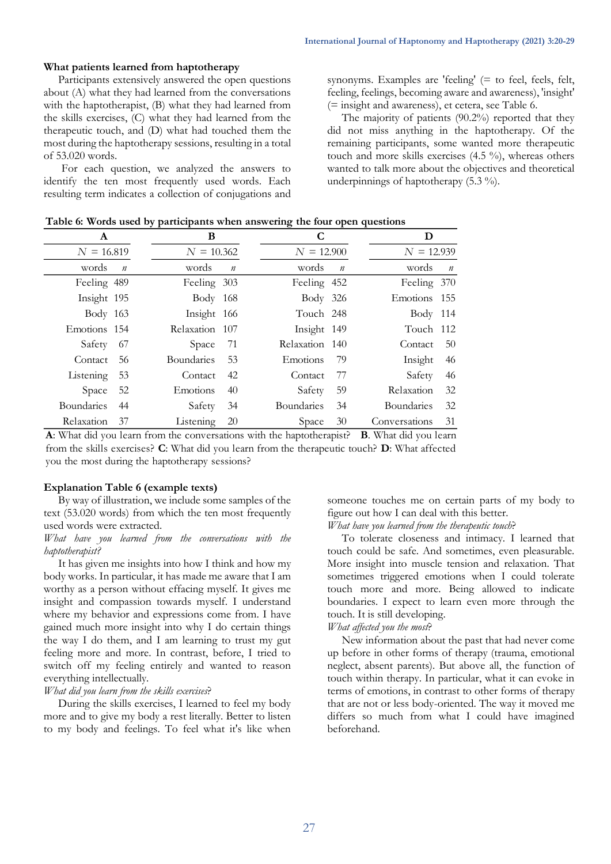#### **What patients learned from haptotherapy**

Participants extensively answered the open questions about (A) what they had learned from the conversations with the haptotherapist, (B) what they had learned from the skills exercises, (C) what they had learned from the therapeutic touch, and (D) what had touched them the most during the haptotherapy sessions, resulting in a total of 53.020 words.

For each question, we analyzed the answers to identify the ten most frequently used words. Each resulting term indicates a collection of conjugations and

synonyms. Examples are 'feeling' (= to feel, feels, felt, feeling, feelings, becoming aware and awareness), 'insight' (= insight and awareness), et cetera, see Table 6.

The majority of patients (90.2%) reported that they did not miss anything in the haptotherapy. Of the remaining participants, some wanted more therapeutic touch and more skills exercises (4.5 %), whereas others wanted to talk more about the objectives and theoretical underpinnings of haptotherapy (5.3 %).

| Table 6: Words used by participants when answering the four open questions |  |  |
|----------------------------------------------------------------------------|--|--|
|                                                                            |  |  |

| A                 |                  | В                 |                | C                 |                  |                   |            |
|-------------------|------------------|-------------------|----------------|-------------------|------------------|-------------------|------------|
| $N = 16.819$      |                  | $N = 10.362$      |                | $N = 12.900$      |                  | $N = 12.939$      |            |
| words             | $\boldsymbol{n}$ | words             | $\overline{n}$ | words             | $\boldsymbol{n}$ | words             | $\sqrt{n}$ |
| Feeling 489       |                  | Feeling 303       |                | Feeling 452       |                  | Feeling 370       |            |
| Insight 195       |                  | Body 168          |                | Body 326          |                  | Emotions 155      |            |
| Body 163          |                  | Insight 166       |                | Touch 248         |                  | Body 114          |            |
| Emotions 154      |                  | Relaxation 107    |                | Insight 149       |                  | Touch 112         |            |
| Safety            | -67              | Space             | 71             | Relaxation 140    |                  | Contact           | -50        |
| Contact           | 56               | <b>Boundaries</b> | 53             | <b>Emotions</b>   | -79              | Insight           | 46         |
| Listening         | 53               | Contact           | 42             | Contact           | 77               | Safety            | 46         |
| Space             | 52               | Emotions          | 40             | Safety            | 59               | <b>Relaxation</b> | 32         |
| <b>Boundaries</b> | 44               | Safety            | 34             | <b>Boundaries</b> | 34               | <b>Boundaries</b> | -32        |
| Relaxation        | -37              | Listening         | 20             | Space             | 30               | Conversations     | 31         |

from the skills exercises? **C**: What did you learn from the therapeutic touch? **D**: What affected you the most during the haptotherapy sessions? **A**: What did you learn from the conversations with the haptotherapist? **B**. What did you learn

#### **Explanation Table 6 (example texts)**

By way of illustration, we include some samples of the text (53.020 words) from which the ten most frequently used words were extracted.

#### *What have you learned from the conversations with the haptotherapist?*

It has given me insights into how I think and how my body works. In particular, it has made me aware that I am worthy as a person without effacing myself. It gives me insight and compassion towards myself. I understand where my behavior and expressions come from. I have gained much more insight into why I do certain things the way I do them, and I am learning to trust my gut feeling more and more. In contrast, before, I tried to switch off my feeling entirely and wanted to reason everything intellectually.

#### *What did you learn from the skills exercises*?

During the skills exercises, I learned to feel my body more and to give my body a rest literally. Better to listen to my body and feelings. To feel what it's like when someone touches me on certain parts of my body to figure out how I can deal with this better.

*What have you learned from the therapeutic touch*?

To tolerate closeness and intimacy. I learned that touch could be safe. And sometimes, even pleasurable. More insight into muscle tension and relaxation. That sometimes triggered emotions when I could tolerate touch more and more. Being allowed to indicate boundaries. I expect to learn even more through the touch. It is still developing.

# *What affected you the most*?

New information about the past that had never come up before in other forms of therapy (trauma, emotional neglect, absent parents). But above all, the function of touch within therapy. In particular, what it can evoke in terms of emotions, in contrast to other forms of therapy that are not or less body-oriented. The way it moved me differs so much from what I could have imagined beforehand.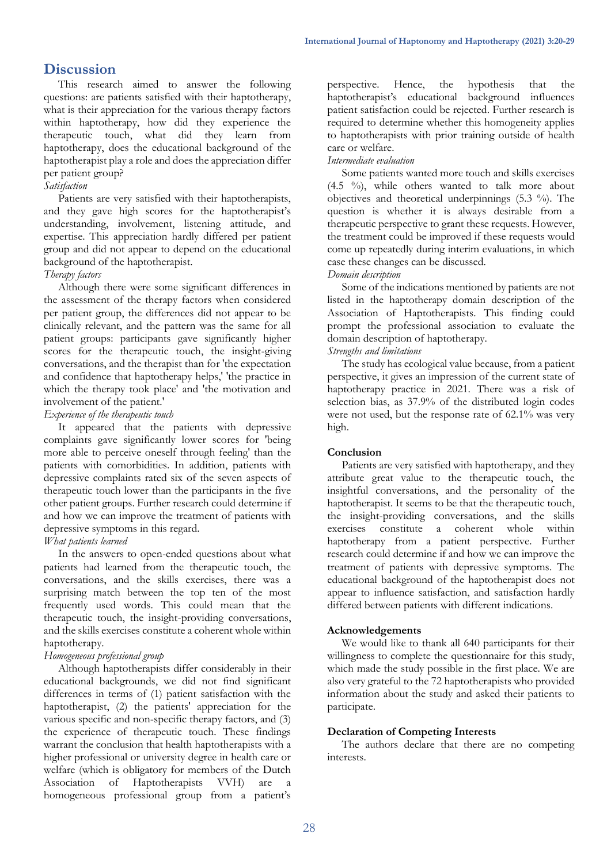# **Discussion**

This research aimed to answer the following questions: are patients satisfied with their haptotherapy, what is their appreciation for the various therapy factors within haptotherapy, how did they experience the therapeutic touch, what did they learn from haptotherapy, does the educational background of the haptotherapist play a role and does the appreciation differ per patient group?

#### *Satisfaction*

Patients are very satisfied with their haptotherapists, and they gave high scores for the haptotherapist's understanding, involvement, listening attitude, and expertise. This appreciation hardly differed per patient group and did not appear to depend on the educational background of the haptotherapist.

### *Therapy factors*

Although there were some significant differences in the assessment of the therapy factors when considered per patient group, the differences did not appear to be clinically relevant, and the pattern was the same for all patient groups: participants gave significantly higher scores for the therapeutic touch, the insight-giving conversations, and the therapist than for 'the expectation and confidence that haptotherapy helps,' 'the practice in which the therapy took place' and 'the motivation and involvement of the patient.'

#### *Experience of the therapeutic touch*

It appeared that the patients with depressive complaints gave significantly lower scores for 'being more able to perceive oneself through feeling' than the patients with comorbidities. In addition, patients with depressive complaints rated six of the seven aspects of therapeutic touch lower than the participants in the five other patient groups. Further research could determine if and how we can improve the treatment of patients with depressive symptoms in this regard.

### *What patients learned*

In the answers to open-ended questions about what patients had learned from the therapeutic touch, the conversations, and the skills exercises, there was a surprising match between the top ten of the most frequently used words. This could mean that the therapeutic touch, the insight-providing conversations, and the skills exercises constitute a coherent whole within haptotherapy.

### *Homogeneous professional group*

Although haptotherapists differ considerably in their educational backgrounds, we did not find significant differences in terms of (1) patient satisfaction with the haptotherapist, (2) the patients' appreciation for the various specific and non-specific therapy factors, and (3) the experience of therapeutic touch. These findings warrant the conclusion that health haptotherapists with a higher professional or university degree in health care or welfare (which is obligatory for members of the Dutch Association of Haptotherapists VVH) are homogeneous professional group from a patient's

perspective. Hence, the hypothesis that the haptotherapist's educational background influences patient satisfaction could be rejected. Further research is required to determine whether this homogeneity applies to haptotherapists with prior training outside of health care or welfare.

### *Intermediate evaluation*

Some patients wanted more touch and skills exercises  $(4.5 \%)$ , while others wanted to talk more about objectives and theoretical underpinnings (5.3 %). The question is whether it is always desirable from a therapeutic perspective to grant these requests. However, the treatment could be improved if these requests would come up repeatedly during interim evaluations, in which case these changes can be discussed.

#### *Domain description*

Some of the indications mentioned by patients are not listed in the haptotherapy domain description of the Association of Haptotherapists. This finding could prompt the professional association to evaluate the domain description of haptotherapy.

#### *Strengths and limitations*

The study has ecological value because, from a patient perspective, it gives an impression of the current state of haptotherapy practice in 2021. There was a risk of selection bias, as 37.9% of the distributed login codes were not used, but the response rate of 62.1% was very high.

### **Conclusion**

Patients are very satisfied with haptotherapy, and they attribute great value to the therapeutic touch, the insightful conversations, and the personality of the haptotherapist. It seems to be that the therapeutic touch, the insight-providing conversations, and the skills exercises constitute a coherent whole within haptotherapy from a patient perspective. Further research could determine if and how we can improve the treatment of patients with depressive symptoms. The educational background of the haptotherapist does not appear to influence satisfaction, and satisfaction hardly differed between patients with different indications.

### **Acknowledgements**

We would like to thank all 640 participants for their willingness to complete the questionnaire for this study, which made the study possible in the first place. We are also very grateful to the 72 haptotherapists who provided information about the study and asked their patients to participate.

### **Declaration of Competing Interests**

The authors declare that there are no competing interests.